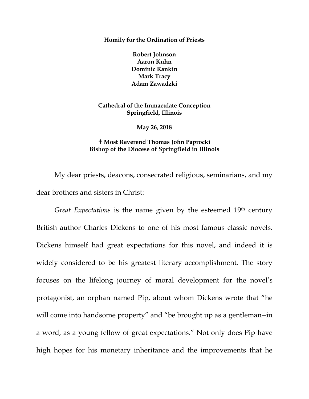**Homily for the Ordination of Priests**

**Robert Johnson Aaron Kuhn Dominic Rankin Mark Tracy Adam Zawadzki**

**Cathedral of the Immaculate Conception Springfield, Illinois**

**May 26, 2018**

## **Most Reverend Thomas John Paprocki Bishop of the Diocese of Springfield in Illinois**

My dear priests, deacons, consecrated religious, seminarians, and my dear brothers and sisters in Christ:

*Great Expectations* is the name given by the esteemed 19<sup>th</sup> century British author Charles Dickens to one of his most famous classic novels. Dickens himself had great expectations for this novel, and indeed it is widely considered to be his greatest literary accomplishment. The story focuses on the lifelong journey of moral development for the novel's protagonist, an orphan named Pip, about whom Dickens wrote that "he will come into handsome property" and "be brought up as a gentleman--in a word, as a young fellow of great expectations." Not only does Pip have high hopes for his monetary inheritance and the improvements that he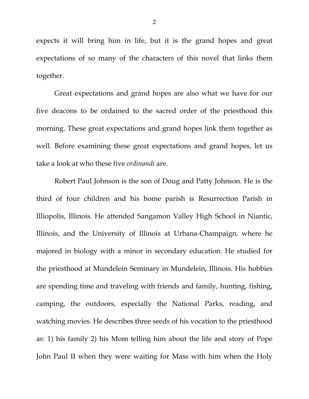expects it will bring him in life, but it is the grand hopes and great expectations of so many of the characters of this novel that links them together.

Great expectations and grand hopes are also what we have for our five deacons to be ordained to the sacred order of the priesthood this morning. These great expectations and grand hopes link them together as well. Before examining these great expectations and grand hopes, let us take a look at who these five *ordinandi* are.

Robert Paul Johnson is the son of Doug and Patty Johnson. He is the third of four children and his home parish is Resurrection Parish in Illiopolis, Illinois. He attended Sangamon Valley High School in Niantic, Illinois, and the University of Illinois at Urbana-Champaign, where he majored in biology with a minor in secondary education. He studied for the priesthood at Mundelein Seminary in Mundelein, Illinois. His hobbies are spending time and traveling with friends and family, hunting, fishing, camping, the outdoors, especially the National Parks, reading, and watching movies. He describes three seeds of his vocation to the priesthood as: 1) his family 2) his Mom telling him about the life and story of Pope John Paul II when they were waiting for Mass with him when the Holy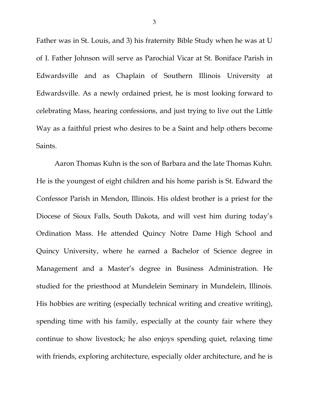Father was in St. Louis, and 3) his fraternity Bible Study when he was at U of I. Father Johnson will serve as Parochial Vicar at St. Boniface Parish in Edwardsville and as Chaplain of Southern Illinois University at Edwardsville. As a newly ordained priest, he is most looking forward to celebrating Mass, hearing confessions, and just trying to live out the Little Way as a faithful priest who desires to be a Saint and help others become Saints.

Aaron Thomas Kuhn is the son of Barbara and the late Thomas Kuhn. He is the youngest of eight children and his home parish is St. Edward the Confessor Parish in Mendon, Illinois. His oldest brother is a priest for the Diocese of Sioux Falls, South Dakota, and will vest him during today's Ordination Mass. He attended Quincy Notre Dame High School and Quincy University, where he earned a Bachelor of Science degree in Management and a Master's degree in Business Administration. He studied for the priesthood at Mundelein Seminary in Mundelein, Illinois. His hobbies are writing (especially technical writing and creative writing), spending time with his family, especially at the county fair where they continue to show livestock; he also enjoys spending quiet, relaxing time with friends, exploring architecture, especially older architecture, and he is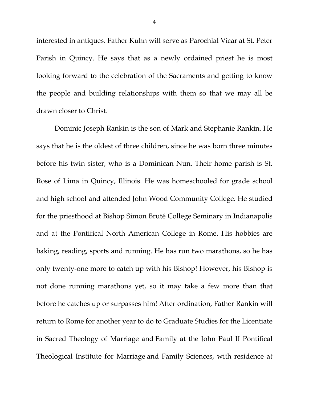interested in antiques. Father Kuhn will serve as Parochial Vicar at St. Peter Parish in Quincy. He says that as a newly ordained priest he is most looking forward to the celebration of the Sacraments and getting to know the people and building relationships with them so that we may all be drawn closer to Christ.

Dominic Joseph Rankin is the son of Mark and Stephanie Rankin. He says that he is the oldest of three children, since he was born three minutes before his twin sister, who is a Dominican Nun. Their home parish is St. Rose of Lima in Quincy, Illinois. He was homeschooled for grade school and high school and attended John Wood Community College. He studied for the priesthood at Bishop Simon Bruté College Seminary in Indianapolis and at the Pontifical North American College in Rome. His hobbies are baking, reading, sports and running. He has run two marathons, so he has only twenty-one more to catch up with his Bishop! However, his Bishop is not done running marathons yet, so it may take a few more than that before he catches up or surpasses him! After ordination, Father Rankin will return to Rome for another year to do to Graduate Studies for the Licentiate in Sacred Theology of Marriage and Family at the John Paul II Pontifical Theological Institute for Marriage and Family Sciences, with residence at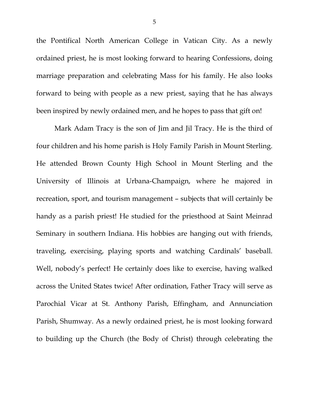the Pontifical North American College in Vatican City. As a newly ordained priest, he is most looking forward to hearing Confessions, doing marriage preparation and celebrating Mass for his family. He also looks forward to being with people as a new priest, saying that he has always been inspired by newly ordained men, and he hopes to pass that gift on!

Mark Adam Tracy is the son of Jim and Jil Tracy. He is the third of four children and his home parish is Holy Family Parish in Mount Sterling. He attended Brown County High School in Mount Sterling and the University of Illinois at Urbana-Champaign, where he majored in recreation, sport, and tourism management – subjects that will certainly be handy as a parish priest! He studied for the priesthood at Saint Meinrad Seminary in southern Indiana. His hobbies are hanging out with friends, traveling, exercising, playing sports and watching Cardinals' baseball. Well, nobody's perfect! He certainly does like to exercise, having walked across the United States twice! After ordination, Father Tracy will serve as Parochial Vicar at St. Anthony Parish, Effingham, and Annunciation Parish, Shumway. As a newly ordained priest, he is most looking forward to building up the Church (the Body of Christ) through celebrating the

5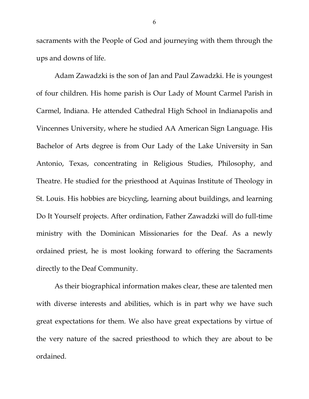sacraments with the People of God and journeying with them through the ups and downs of life.

Adam Zawadzki is the son of Jan and Paul Zawadzki. He is youngest of four children. His home parish is Our Lady of Mount Carmel Parish in Carmel, Indiana. He attended Cathedral High School in Indianapolis and Vincennes University, where he studied AA American Sign Language. His Bachelor of Arts degree is from Our Lady of the Lake University in San Antonio, Texas, concentrating in Religious Studies, Philosophy, and Theatre. He studied for the priesthood at Aquinas Institute of Theology in St. Louis. His hobbies are bicycling, learning about buildings, and learning Do It Yourself projects. After ordination, Father Zawadzki will do full-time ministry with the Dominican Missionaries for the Deaf. As a newly ordained priest, he is most looking forward to offering the Sacraments directly to the Deaf Community.

As their biographical information makes clear, these are talented men with diverse interests and abilities, which is in part why we have such great expectations for them. We also have great expectations by virtue of the very nature of the sacred priesthood to which they are about to be ordained.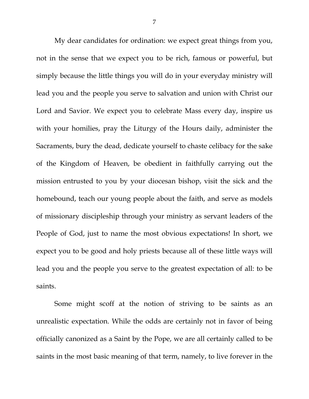My dear candidates for ordination: we expect great things from you, not in the sense that we expect you to be rich, famous or powerful, but simply because the little things you will do in your everyday ministry will lead you and the people you serve to salvation and union with Christ our Lord and Savior. We expect you to celebrate Mass every day, inspire us with your homilies, pray the Liturgy of the Hours daily, administer the Sacraments, bury the dead, dedicate yourself to chaste celibacy for the sake of the Kingdom of Heaven, be obedient in faithfully carrying out the mission entrusted to you by your diocesan bishop, visit the sick and the homebound, teach our young people about the faith, and serve as models of missionary discipleship through your ministry as servant leaders of the People of God, just to name the most obvious expectations! In short, we expect you to be good and holy priests because all of these little ways will lead you and the people you serve to the greatest expectation of all: to be saints.

Some might scoff at the notion of striving to be saints as an unrealistic expectation. While the odds are certainly not in favor of being officially canonized as a Saint by the Pope, we are all certainly called to be saints in the most basic meaning of that term, namely, to live forever in the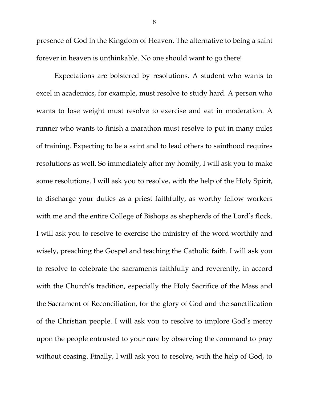presence of God in the Kingdom of Heaven. The alternative to being a saint forever in heaven is unthinkable. No one should want to go there!

Expectations are bolstered by resolutions. A student who wants to excel in academics, for example, must resolve to study hard. A person who wants to lose weight must resolve to exercise and eat in moderation. A runner who wants to finish a marathon must resolve to put in many miles of training. Expecting to be a saint and to lead others to sainthood requires resolutions as well. So immediately after my homily, I will ask you to make some resolutions. I will ask you to resolve, with the help of the Holy Spirit, to discharge your duties as a priest faithfully, as worthy fellow workers with me and the entire College of Bishops as shepherds of the Lord's flock. I will ask you to resolve to exercise the ministry of the word worthily and wisely, preaching the Gospel and teaching the Catholic faith. I will ask you to resolve to celebrate the sacraments faithfully and reverently, in accord with the Church's tradition, especially the Holy Sacrifice of the Mass and the Sacrament of Reconciliation, for the glory of God and the sanctification of the Christian people. I will ask you to resolve to implore God's mercy upon the people entrusted to your care by observing the command to pray without ceasing. Finally, I will ask you to resolve, with the help of God, to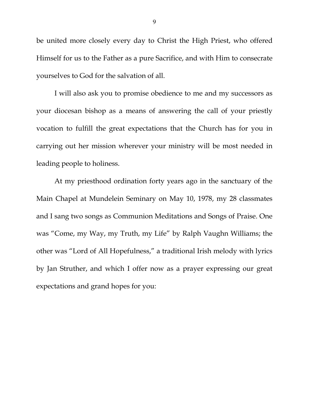be united more closely every day to Christ the High Priest, who offered Himself for us to the Father as a pure Sacrifice, and with Him to consecrate yourselves to God for the salvation of all.

I will also ask you to promise obedience to me and my successors as your diocesan bishop as a means of answering the call of your priestly vocation to fulfill the great expectations that the Church has for you in carrying out her mission wherever your ministry will be most needed in leading people to holiness.

At my priesthood ordination forty years ago in the sanctuary of the Main Chapel at Mundelein Seminary on May 10, 1978, my 28 classmates and I sang two songs as Communion Meditations and Songs of Praise. One was "Come, my Way, my Truth, my Life" by Ralph Vaughn Williams; the other was "Lord of All Hopefulness," a traditional Irish melody with lyrics by Jan Struther, and which I offer now as a prayer expressing our great expectations and grand hopes for you: